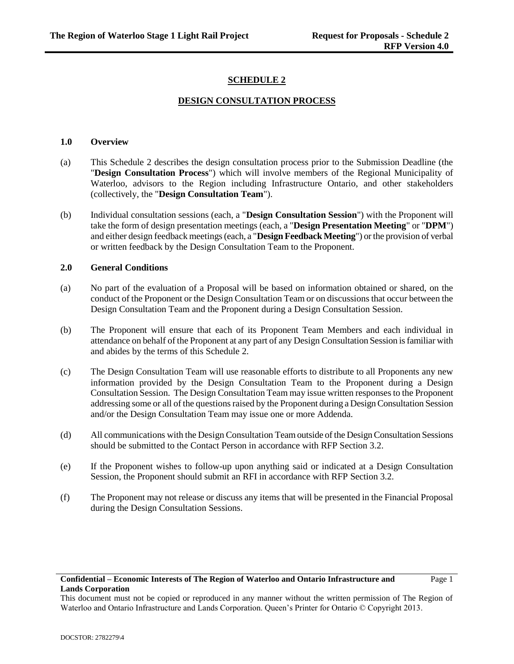# **SCHEDULE 2**

### **DESIGN CONSULTATION PROCESS**

#### **1.0 Overview**

- (a) This Schedule 2 describes the design consultation process prior to the Submission Deadline (the "**Design Consultation Process**") which will involve members of the Regional Municipality of Waterloo, advisors to the Region including Infrastructure Ontario, and other stakeholders (collectively, the "**Design Consultation Team**").
- (b) Individual consultation sessions (each, a "**Design Consultation Session**") with the Proponent will take the form of design presentation meetings (each, a "**Design Presentation Meeting**" or "**DPM**") and either design feedback meetings (each, a "**Design Feedback Meeting**") or the provision of verbal or written feedback by the Design Consultation Team to the Proponent.

#### **2.0 General Conditions**

- (a) No part of the evaluation of a Proposal will be based on information obtained or shared, on the conduct of the Proponent or the Design Consultation Team or on discussions that occur between the Design Consultation Team and the Proponent during a Design Consultation Session.
- (b) The Proponent will ensure that each of its Proponent Team Members and each individual in attendance on behalf of the Proponent at any part of any Design Consultation Session is familiar with and abides by the terms of this Schedule 2.
- (c) The Design Consultation Team will use reasonable efforts to distribute to all Proponents any new information provided by the Design Consultation Team to the Proponent during a Design Consultation Session. The Design Consultation Team may issue written responses to the Proponent addressing some or all of the questions raised by the Proponent during a Design Consultation Session and/or the Design Consultation Team may issue one or more Addenda.
- (d) All communications with the Design Consultation Team outside of the Design Consultation Sessions should be submitted to the Contact Person in accordance with RFP Section 3.2.
- (e) If the Proponent wishes to follow-up upon anything said or indicated at a Design Consultation Session, the Proponent should submit an RFI in accordance with RFP Section 3.2.
- (f) The Proponent may not release or discuss any items that will be presented in the Financial Proposal during the Design Consultation Sessions.

# **Confidential – Economic Interests of The Region of Waterloo and Ontario Infrastructure and Lands Corporation**

This document must not be copied or reproduced in any manner without the written permission of The Region of Waterloo and Ontario Infrastructure and Lands Corporation. Queen's Printer for Ontario © Copyright 2013.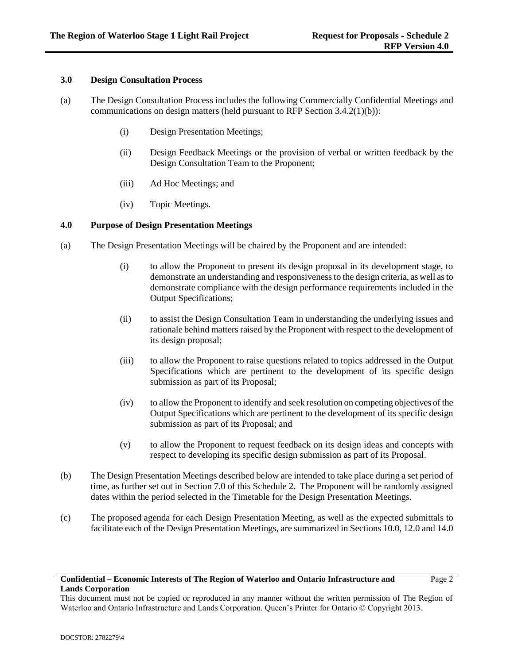Page 2

### **3.0 Design Consultation Process**

- (a) The Design Consultation Process includes the following Commercially Confidential Meetings and communications on design matters (held pursuant to RFP Section 3.4.2(1)(b)):
	- (i) Design Presentation Meetings;
	- (ii) Design Feedback Meetings or the provision of verbal or written feedback by the Design Consultation Team to the Proponent;
	- (iii) Ad Hoc Meetings; and
	- (iv) Topic Meetings.

### **4.0 Purpose of Design Presentation Meetings**

- (a) The Design Presentation Meetings will be chaired by the Proponent and are intended:
	- (i) to allow the Proponent to present its design proposal in its development stage, to demonstrate an understanding and responsiveness to the design criteria, as well as to demonstrate compliance with the design performance requirements included in the Output Specifications;
	- (ii) to assist the Design Consultation Team in understanding the underlying issues and rationale behind matters raised by the Proponent with respect to the development of its design proposal;
	- (iii) to allow the Proponent to raise questions related to topics addressed in the Output Specifications which are pertinent to the development of its specific design submission as part of its Proposal;
	- (iv) to allow the Proponent to identify and seek resolution on competing objectives of the Output Specifications which are pertinent to the development of its specific design submission as part of its Proposal; and
	- (v) to allow the Proponent to request feedback on its design ideas and concepts with respect to developing its specific design submission as part of its Proposal.
- (b) The Design Presentation Meetings described below are intended to take place during a set period of time, as further set out in Section 7.0 of this Schedule 2. The Proponent will be randomly assigned dates within the period selected in the Timetable for the Design Presentation Meetings.
- (c) The proposed agenda for each Design Presentation Meeting, as well as the expected submittals to facilitate each of the Design Presentation Meetings, are summarized in Sections 10.0, 12.0 and 14.0

### **Confidential – Economic Interests of The Region of Waterloo and Ontario Infrastructure and Lands Corporation**

This document must not be copied or reproduced in any manner without the written permission of The Region of Waterloo and Ontario Infrastructure and Lands Corporation. Queen's Printer for Ontario © Copyright 2013.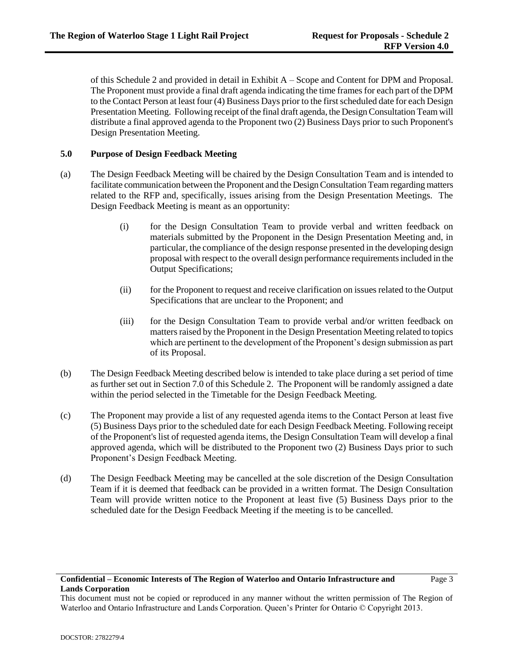of this Schedule 2 and provided in detail in Exhibit A – Scope and Content for DPM and Proposal. The Proponent must provide a final draft agenda indicating the time frames for each part of the DPM to the Contact Person at least four (4) Business Days prior to the first scheduled date for each Design Presentation Meeting. Following receipt of the final draft agenda, the Design Consultation Team will distribute a final approved agenda to the Proponent two (2) Business Days prior to such Proponent's Design Presentation Meeting.

### **5.0 Purpose of Design Feedback Meeting**

- (a) The Design Feedback Meeting will be chaired by the Design Consultation Team and is intended to facilitate communication between the Proponent and the Design Consultation Team regarding matters related to the RFP and, specifically, issues arising from the Design Presentation Meetings. The Design Feedback Meeting is meant as an opportunity:
	- (i) for the Design Consultation Team to provide verbal and written feedback on materials submitted by the Proponent in the Design Presentation Meeting and, in particular, the compliance of the design response presented in the developing design proposal with respect to the overall design performance requirements included in the Output Specifications;
	- (ii) for the Proponent to request and receive clarification on issues related to the Output Specifications that are unclear to the Proponent; and
	- (iii) for the Design Consultation Team to provide verbal and/or written feedback on matters raised by the Proponent in the Design Presentation Meeting related to topics which are pertinent to the development of the Proponent's design submission as part of its Proposal.
- (b) The Design Feedback Meeting described below is intended to take place during a set period of time as further set out in Section 7.0 of this Schedule 2. The Proponent will be randomly assigned a date within the period selected in the Timetable for the Design Feedback Meeting.
- (c) The Proponent may provide a list of any requested agenda items to the Contact Person at least five (5) Business Days prior to the scheduled date for each Design Feedback Meeting. Following receipt of the Proponent's list of requested agenda items, the Design Consultation Team will develop a final approved agenda, which will be distributed to the Proponent two (2) Business Days prior to such Proponent's Design Feedback Meeting.
- (d) The Design Feedback Meeting may be cancelled at the sole discretion of the Design Consultation Team if it is deemed that feedback can be provided in a written format. The Design Consultation Team will provide written notice to the Proponent at least five (5) Business Days prior to the scheduled date for the Design Feedback Meeting if the meeting is to be cancelled.

#### **Confidential – Economic Interests of The Region of Waterloo and Ontario Infrastructure and Lands Corporation**

This document must not be copied or reproduced in any manner without the written permission of The Region of Waterloo and Ontario Infrastructure and Lands Corporation. Queen's Printer for Ontario © Copyright 2013.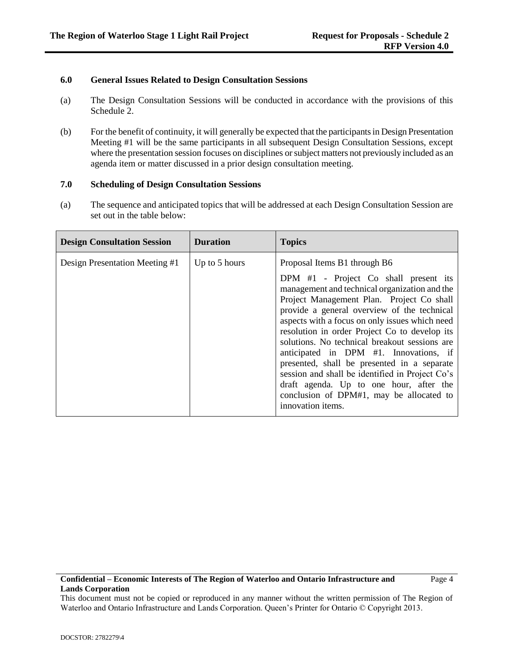# **6.0 General Issues Related to Design Consultation Sessions**

- (a) The Design Consultation Sessions will be conducted in accordance with the provisions of this Schedule 2.
- (b) For the benefit of continuity, it will generally be expected that the participants in Design Presentation Meeting #1 will be the same participants in all subsequent Design Consultation Sessions, except where the presentation session focuses on disciplines or subject matters not previously included as an agenda item or matter discussed in a prior design consultation meeting.

### **7.0 Scheduling of Design Consultation Sessions**

(a) The sequence and anticipated topics that will be addressed at each Design Consultation Session are set out in the table below:

| <b>Design Consultation Session</b> | <b>Duration</b> | <b>Topics</b>                                                                                                                                                                                                                                                                                                                                                                                                                                                                                                                                                                                  |
|------------------------------------|-----------------|------------------------------------------------------------------------------------------------------------------------------------------------------------------------------------------------------------------------------------------------------------------------------------------------------------------------------------------------------------------------------------------------------------------------------------------------------------------------------------------------------------------------------------------------------------------------------------------------|
| Design Presentation Meeting #1     | Up to 5 hours   | Proposal Items B1 through B6                                                                                                                                                                                                                                                                                                                                                                                                                                                                                                                                                                   |
|                                    |                 | DPM #1 - Project Co shall present its<br>management and technical organization and the<br>Project Management Plan. Project Co shall<br>provide a general overview of the technical<br>aspects with a focus on only issues which need<br>resolution in order Project Co to develop its<br>solutions. No technical breakout sessions are<br>anticipated in DPM #1. Innovations, if<br>presented, shall be presented in a separate<br>session and shall be identified in Project Co's<br>draft agenda. Up to one hour, after the<br>conclusion of DPM#1, may be allocated to<br>innovation items. |

This document must not be copied or reproduced in any manner without the written permission of The Region of Waterloo and Ontario Infrastructure and Lands Corporation. Queen's Printer for Ontario © Copyright 2013.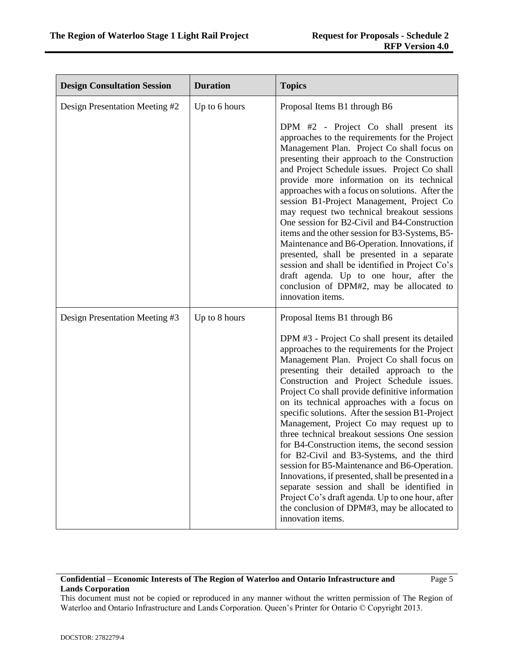| <b>Design Consultation Session</b> | <b>Duration</b> | <b>Topics</b>                                                                                                                                                                                                                                                                                                                                                                                                                                                                                                                                                                                                                                                                                                                                                                                                                                                            |
|------------------------------------|-----------------|--------------------------------------------------------------------------------------------------------------------------------------------------------------------------------------------------------------------------------------------------------------------------------------------------------------------------------------------------------------------------------------------------------------------------------------------------------------------------------------------------------------------------------------------------------------------------------------------------------------------------------------------------------------------------------------------------------------------------------------------------------------------------------------------------------------------------------------------------------------------------|
| Design Presentation Meeting #2     | Up to 6 hours   | Proposal Items B1 through B6                                                                                                                                                                                                                                                                                                                                                                                                                                                                                                                                                                                                                                                                                                                                                                                                                                             |
|                                    |                 | DPM #2 - Project Co shall present its<br>approaches to the requirements for the Project<br>Management Plan. Project Co shall focus on<br>presenting their approach to the Construction<br>and Project Schedule issues. Project Co shall<br>provide more information on its technical<br>approaches with a focus on solutions. After the<br>session B1-Project Management, Project Co<br>may request two technical breakout sessions<br>One session for B2-Civil and B4-Construction<br>items and the other session for B3-Systems, B5-<br>Maintenance and B6-Operation. Innovations, if<br>presented, shall be presented in a separate<br>session and shall be identified in Project Co's<br>draft agenda. Up to one hour, after the<br>conclusion of DPM#2, may be allocated to<br>innovation items.                                                                    |
| Design Presentation Meeting #3     | Up to 8 hours   | Proposal Items B1 through B6                                                                                                                                                                                                                                                                                                                                                                                                                                                                                                                                                                                                                                                                                                                                                                                                                                             |
|                                    |                 | DPM #3 - Project Co shall present its detailed<br>approaches to the requirements for the Project<br>Management Plan. Project Co shall focus on<br>presenting their detailed approach to the<br>Construction and Project Schedule issues.<br>Project Co shall provide definitive information<br>on its technical approaches with a focus on<br>specific solutions. After the session B1-Project<br>Management, Project Co may request up to<br>three technical breakout sessions One session<br>for B4-Construction items, the second session<br>for B2-Civil and B3-Systems, and the third<br>session for B5-Maintenance and B6-Operation.<br>Innovations, if presented, shall be presented in a<br>separate session and shall be identified in<br>Project Co's draft agenda. Up to one hour, after<br>the conclusion of DPM#3, may be allocated to<br>innovation items. |

# **Confidential – Economic Interests of The Region of Waterloo and Ontario Infrastructure and Lands Corporation**

This document must not be copied or reproduced in any manner without the written permission of The Region of Waterloo and Ontario Infrastructure and Lands Corporation. Queen's Printer for Ontario © Copyright 2013.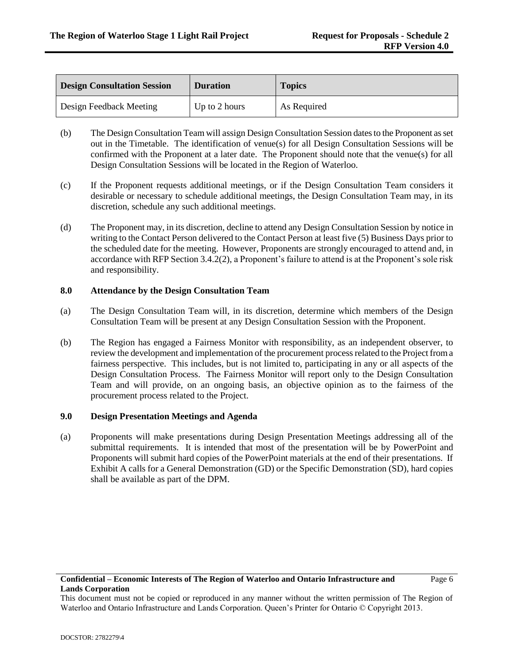| <b>Design Consultation Session</b> | <b>Duration</b> | <b>Topics</b> |
|------------------------------------|-----------------|---------------|
| Design Feedback Meeting            | Up to 2 hours   | As Required   |

- (b) The Design Consultation Team will assign Design Consultation Session dates to the Proponent as set out in the Timetable. The identification of venue(s) for all Design Consultation Sessions will be confirmed with the Proponent at a later date. The Proponent should note that the venue(s) for all Design Consultation Sessions will be located in the Region of Waterloo.
- (c) If the Proponent requests additional meetings, or if the Design Consultation Team considers it desirable or necessary to schedule additional meetings, the Design Consultation Team may, in its discretion, schedule any such additional meetings.
- (d) The Proponent may, in its discretion, decline to attend any Design Consultation Session by notice in writing to the Contact Person delivered to the Contact Person at least five (5) Business Days prior to the scheduled date for the meeting. However, Proponents are strongly encouraged to attend and, in accordance with RFP Section 3.4.2(2), a Proponent's failure to attend is at the Proponent's sole risk and responsibility.

### **8.0 Attendance by the Design Consultation Team**

- (a) The Design Consultation Team will, in its discretion, determine which members of the Design Consultation Team will be present at any Design Consultation Session with the Proponent.
- (b) The Region has engaged a Fairness Monitor with responsibility, as an independent observer, to review the development and implementation of the procurement process related to the Project from a fairness perspective. This includes, but is not limited to, participating in any or all aspects of the Design Consultation Process. The Fairness Monitor will report only to the Design Consultation Team and will provide, on an ongoing basis, an objective opinion as to the fairness of the procurement process related to the Project.

#### **9.0 Design Presentation Meetings and Agenda**

(a) Proponents will make presentations during Design Presentation Meetings addressing all of the submittal requirements. It is intended that most of the presentation will be by PowerPoint and Proponents will submit hard copies of the PowerPoint materials at the end of their presentations. If Exhibit A calls for a General Demonstration (GD) or the Specific Demonstration (SD), hard copies shall be available as part of the DPM.

This document must not be copied or reproduced in any manner without the written permission of The Region of Waterloo and Ontario Infrastructure and Lands Corporation. Queen's Printer for Ontario © Copyright 2013.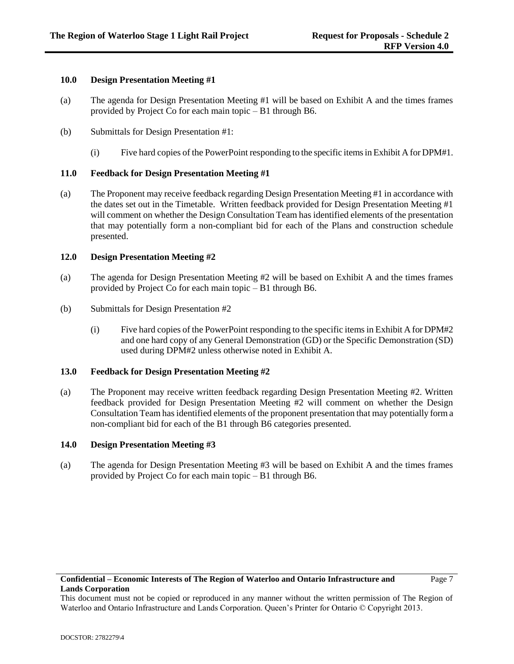### **10.0 Design Presentation Meeting #1**

- (a) The agenda for Design Presentation Meeting #1 will be based on Exhibit A and the times frames provided by Project Co for each main topic – B1 through B6.
- (b) Submittals for Design Presentation #1:
	- (i) Five hard copies of the PowerPoint responding to the specific items in Exhibit A for DPM#1.

### **11.0 Feedback for Design Presentation Meeting #1**

(a) The Proponent may receive feedback regarding Design Presentation Meeting #1 in accordance with the dates set out in the Timetable. Written feedback provided for Design Presentation Meeting #1 will comment on whether the Design Consultation Team has identified elements of the presentation that may potentially form a non-compliant bid for each of the Plans and construction schedule presented.

### **12.0 Design Presentation Meeting #2**

- (a) The agenda for Design Presentation Meeting #2 will be based on Exhibit A and the times frames provided by Project Co for each main topic – B1 through B6.
- (b) Submittals for Design Presentation #2
	- (i) Five hard copies of the PowerPoint responding to the specific items in Exhibit A for DPM#2 and one hard copy of any General Demonstration (GD) or the Specific Demonstration (SD) used during DPM#2 unless otherwise noted in Exhibit A.

#### **13.0 Feedback for Design Presentation Meeting #2**

(a) The Proponent may receive written feedback regarding Design Presentation Meeting #2. Written feedback provided for Design Presentation Meeting #2 will comment on whether the Design Consultation Team has identified elements of the proponent presentation that may potentially form a non-compliant bid for each of the B1 through B6 categories presented.

#### **14.0 Design Presentation Meeting #3**

(a) The agenda for Design Presentation Meeting #3 will be based on Exhibit A and the times frames provided by Project Co for each main topic – B1 through B6.

This document must not be copied or reproduced in any manner without the written permission of The Region of Waterloo and Ontario Infrastructure and Lands Corporation. Queen's Printer for Ontario © Copyright 2013.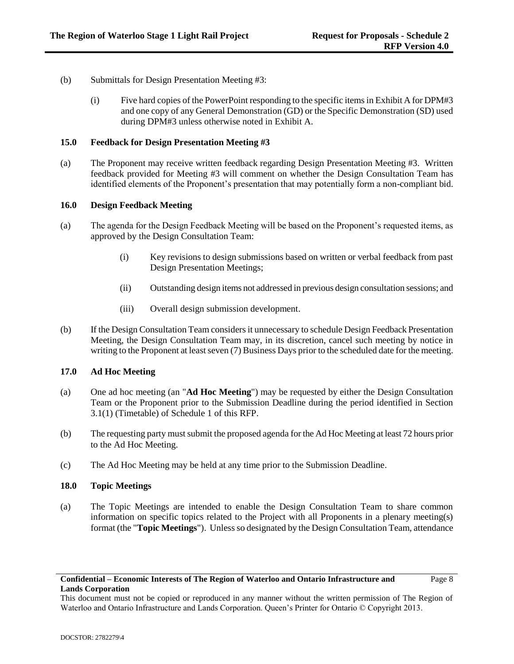- (b) Submittals for Design Presentation Meeting #3:
	- (i) Five hard copies of the PowerPoint responding to the specific items in Exhibit A for DPM#3 and one copy of any General Demonstration (GD) or the Specific Demonstration (SD) used during DPM#3 unless otherwise noted in Exhibit A.

#### **15.0 Feedback for Design Presentation Meeting #3**

(a) The Proponent may receive written feedback regarding Design Presentation Meeting #3. Written feedback provided for Meeting #3 will comment on whether the Design Consultation Team has identified elements of the Proponent's presentation that may potentially form a non-compliant bid.

## **16.0 Design Feedback Meeting**

- (a) The agenda for the Design Feedback Meeting will be based on the Proponent's requested items, as approved by the Design Consultation Team:
	- (i) Key revisions to design submissions based on written or verbal feedback from past Design Presentation Meetings;
	- (ii) Outstanding design items not addressed in previous design consultation sessions; and
	- (iii) Overall design submission development.
- (b) If the Design Consultation Team considers it unnecessary to schedule Design Feedback Presentation Meeting, the Design Consultation Team may, in its discretion, cancel such meeting by notice in writing to the Proponent at least seven (7) Business Days prior to the scheduled date for the meeting.

# **17.0 Ad Hoc Meeting**

- (a) One ad hoc meeting (an "**Ad Hoc Meeting**") may be requested by either the Design Consultation Team or the Proponent prior to the Submission Deadline during the period identified in Section 3.1(1) (Timetable) of Schedule 1 of this RFP.
- (b) The requesting party must submit the proposed agenda for the Ad Hoc Meeting at least 72 hours prior to the Ad Hoc Meeting.
- (c) The Ad Hoc Meeting may be held at any time prior to the Submission Deadline.

### **18.0 Topic Meetings**

(a) The Topic Meetings are intended to enable the Design Consultation Team to share common information on specific topics related to the Project with all Proponents in a plenary meeting(s) format (the "**Topic Meetings**"). Unless so designated by the Design Consultation Team, attendance

This document must not be copied or reproduced in any manner without the written permission of The Region of Waterloo and Ontario Infrastructure and Lands Corporation. Queen's Printer for Ontario © Copyright 2013.